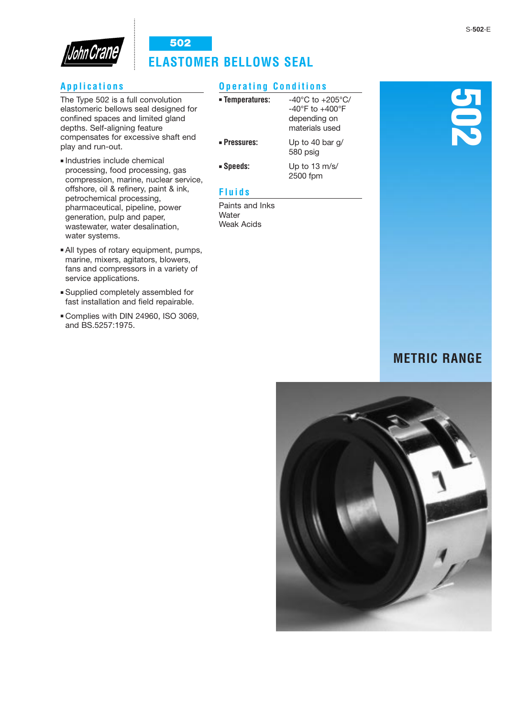

# **Applications**

The Type 502 is a full convolution elastomeric bellows seal designed for confined spaces and limited gland depths. Self-aligning feature compensates for excessive shaft end play and run-out.

- Industries include chemical processing, food processing, gas compression, marine, nuclear service, offshore, oil & refinery, paint & ink, petrochemical processing, pharmaceutical, pipeline, power generation, pulp and paper, wastewater, water desalination, water systems.
- All types of rotary equipment, pumps, marine, mixers, agitators, blowers, fans and compressors in a variety of service applications.
- Supplied completely assembled for fast installation and field repairable.
- Complies with DIN 24960, ISO 3069, and BS.5257:1975.

# **Operating Conditions**

| • Temperatures:     | $-40^{\circ}$ C to $+205^{\circ}$ C/<br>$-40^{\circ}$ F to $+400^{\circ}$ F<br>depending on<br>materials used |
|---------------------|---------------------------------------------------------------------------------------------------------------|
| <b>• Pressures:</b> | Up to 40 bar q/<br>580 psig                                                                                   |
| <b>Speeds:</b>      | Up to 13 m/s/<br>2500 fpm                                                                                     |

# **Fluids**

Paints and Inks **Water** Weak Acids

# **502**

# **METRIC RANGE**

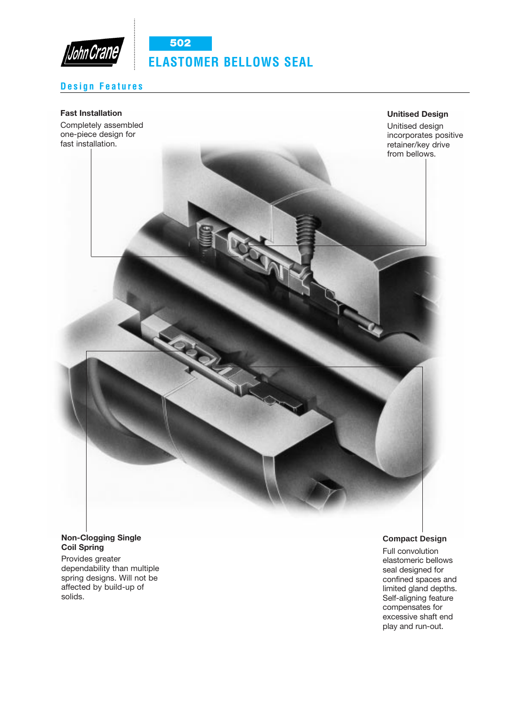

# **Design Features**

### **Fast Installation**

Completely assembled one-piece design for fast installation.

**Unitised Design**

Unitised design incorporates positive retainer/key drive



### **Non-Clogging Single Coil Spring**

Provides greater dependability than multiple spring designs. Will not be affected by build-up of solids.

### **Compact Design**

Full convolution elastomeric bellows seal designed for confined spaces and limited gland depths. Self-aligning feature compensates for excessive shaft end play and run-out.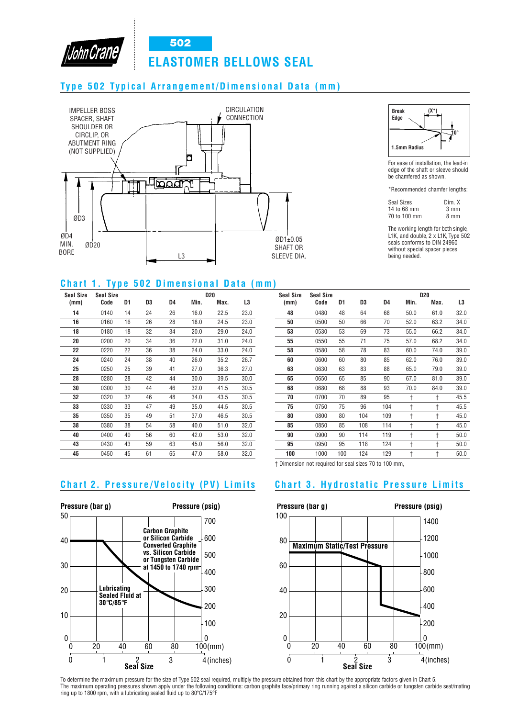

# **Type 502 Typical Arrangement/Dimensional Data (mm)**

John Crane





For ease of installation, the lead-in edge of the shaft or sleeve should be chamfered as shown.

\*Recommended chamfer lengths:

| <b>Seal Sizes</b> | Dim. X |
|-------------------|--------|
| 14 to 68 mm       | 3 mm   |
| 70 to 100 mm      | 8 mm   |

The working length for both single, L1K, and double, 2 x L1K, Type 502 seals conforms to DIN 24960 without special spacer pieces being needed.

## **Chart 1. Type 502 Dimensional Data (mm)**

| Seal Size | <b>Seal Size</b> |    |    |    |      | <b>D20</b> |      |
|-----------|------------------|----|----|----|------|------------|------|
| (mm)      | Code             | D1 | D3 | D4 | Min. | Max.       | L3   |
| 14        | 0140             | 14 | 24 | 26 | 16.0 | 22.5       | 23.0 |
| 16        | 0160             | 16 | 26 | 28 | 18.0 | 24.5       | 23.0 |
| 18        | 0180             | 18 | 32 | 34 | 20.0 | 29.0       | 24.0 |
| 20        | 0200             | 20 | 34 | 36 | 22.0 | 31.0       | 24.0 |
| 22        | 0220             | 22 | 36 | 38 | 24.0 | 33.0       | 24.0 |
| 24        | 0240             | 24 | 38 | 40 | 26.0 | 35.2       | 26.7 |
| 25        | 0250             | 25 | 39 | 41 | 27.0 | 36.3       | 27.0 |
| 28        | 0280             | 28 | 42 | 44 | 30.0 | 39.5       | 30.0 |
| 30        | 0300             | 30 | 44 | 46 | 32.0 | 41.5       | 30.5 |
| 32        | 0320             | 32 | 46 | 48 | 34.0 | 43.5       | 30.5 |
| 33        | 0330             | 33 | 47 | 49 | 35.0 | 44.5       | 30.5 |
| 35        | 0350             | 35 | 49 | 51 | 37.0 | 46.5       | 30.5 |
| 38        | 0380             | 38 | 54 | 58 | 40.0 | 51.0       | 32.0 |
| 40        | 0400             | 40 | 56 | 60 | 42.0 | 53.0       | 32.0 |
| 43        | 0430             | 43 | 59 | 63 | 45.0 | 56.0       | 32.0 |
| 45        | 0450             | 45 | 61 | 65 | 47.0 | 58.0       | 32.0 |

| <b>Seal Size</b> | <b>Seal Size</b> | <b>D20</b> |     |     |      |      |      |
|------------------|------------------|------------|-----|-----|------|------|------|
| (mm)             | Code             | D1         | D3  | D4  | Min. | Max. | L3   |
| 48               | 0480             | 48         | 64  | 68  | 50.0 | 61.0 | 32.0 |
| 50               | 0500             | 50         | 66  | 70  | 52.0 | 63.2 | 34.0 |
| 53               | 0530             | 53         | 69  | 73  | 55.0 | 66.2 | 34.0 |
| 55               | 0550             | 55         | 71  | 75  | 57.0 | 68.2 | 34.0 |
| 58               | 0580             | 58         | 78  | 83  | 60.0 | 74.0 | 39.0 |
| 60               | 0600             | 60         | 80  | 85  | 62.0 | 76.0 | 39.0 |
| 63               | 0630             | 63         | 83  | 88  | 65.0 | 79.0 | 39.0 |
| 65               | 0650             | 65         | 85  | 90  | 67.0 | 81.0 | 39.0 |
| 68               | 0680             | 68         | 88  | 93  | 70.0 | 84.0 | 39.0 |
| 70               | 0700             | 70         | 89  | 95  | t    | t    | 45.5 |
| 75               | 0750             | 75         | 96  | 104 | t    | t    | 45.5 |
| 80               | 0800             | 80         | 104 | 109 | t    | t    | 45.0 |
| 85               | 0850             | 85         | 108 | 114 | t    | t    | 45.0 |
| 90               | 0900             | 90         | 114 | 119 | t    | t    | 50.0 |
| 95               | 0950             | 95         | 118 | 124 | t    | t    | 50.0 |
| 100              | 1000             | 100        | 124 | 129 | t    | t    | 50.0 |
|                  |                  |            |     |     |      |      |      |

† Dimension not required for seal sizes 70 to 100 mm,

# **Chart 2. Pr essur e/Velocity (P V) Limits Chart 3. Hydr ostatic Pr essur e Limits**





To determine the maximum pressure for the size of Type 502 seal required, multiply the pressure obtained from this chart by the appropriate factors given in Chart 5. The maximum operating pressures shown apply under the following conditions: carbon graphite face/primary ring running against a silicon carbide or tungsten carbide seat/mating ring up to 1800 rpm, with a lubricating sealed fluid up to 80°C/175°F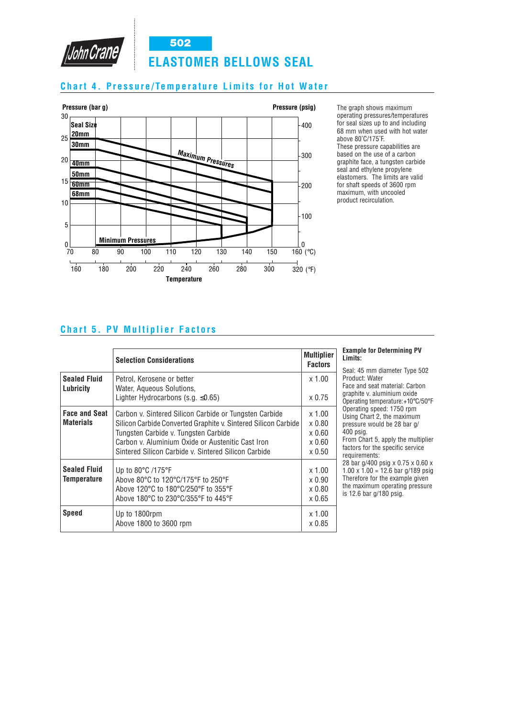

# **Chart 4. Pr essur e/Temperatur e Limits for Hot Water**



The graph shows maximum operating pressures/temperatures for seal sizes up to and including 68 mm when used with hot water above 80˚C/175˚F. These pressure capabilities are based on the use of a carbon graphite face, a tungsten carbide seal and ethylene propylene elastomers. The limits are valid for shaft speeds of 3600 rpm maximum, with uncooled product recirculation.

# **Chart 5. PV Multiplier Factors**

|                                           | <b>Selection Considerations</b>                                                                                                                                                                                                                                               | <b>Multiplier</b><br><b>Factors</b>                                          |
|-------------------------------------------|-------------------------------------------------------------------------------------------------------------------------------------------------------------------------------------------------------------------------------------------------------------------------------|------------------------------------------------------------------------------|
| <b>Sealed Fluid</b><br>Lubricity          | Petrol, Kerosene or better<br>Water, Aqueous Solutions,<br>Lighter Hydrocarbons (s.g. $\leq 0.65$ )                                                                                                                                                                           | $x$ 1.00<br>$\times 0.75$                                                    |
| <b>Face and Seat</b><br><b>Materials</b>  | Carbon v. Sintered Silicon Carbide or Tungsten Carbide<br>Silicon Carbide Converted Graphite v. Sintered Silicon Carbide<br>Tungsten Carbide v. Tungsten Carbide<br>Carbon y. Aluminium Oxide or Austenitic Cast Iron<br>Sintered Silicon Carbide v. Sintered Silicon Carbide | $x$ 1.00<br>$\times 0.80$<br>$\times 0.60$<br>$\times 0.60$<br>$\times 0.50$ |
| <b>Sealed Fluid</b><br><b>Temperature</b> | Up to $80^{\circ}$ C /175 $^{\circ}$ F<br>Above 80°C to 120°C/175°F to 250°F<br>Above 120°C to 180°C/250°F to 355°F<br>Above 180°C to 230°C/355°F to 445°F                                                                                                                    | $x$ 1.00<br>$\times 0.90$<br>$\times 0.80$<br>$\times 0.65$                  |
| <b>Speed</b>                              | Up to 1800rpm<br>Above 1800 to 3600 rpm                                                                                                                                                                                                                                       | $x$ 1.00<br>x 0.85                                                           |

|         | <b>Example for Determining PV</b> |  |
|---------|-----------------------------------|--|
| Limits: |                                   |  |

I: 45 mm diameter Type 502 duct: Water and seat material: Carbon phite v. aluminium oxide rating temperature:+10°C/50°F rating speed: 1750 rpm Using Chart 2, the maximum pressure would be 28 bar g/ psig. n Chart 5, apply the multiplier

ors for the specific service rements:  $\frac{20}{100}$  psig x 0.75 x 0.60 x

 $x 1.00 = 12.6$  bar g/189 psig efore for the example given maximum operating pressure is 12.6 bar g/180 psig.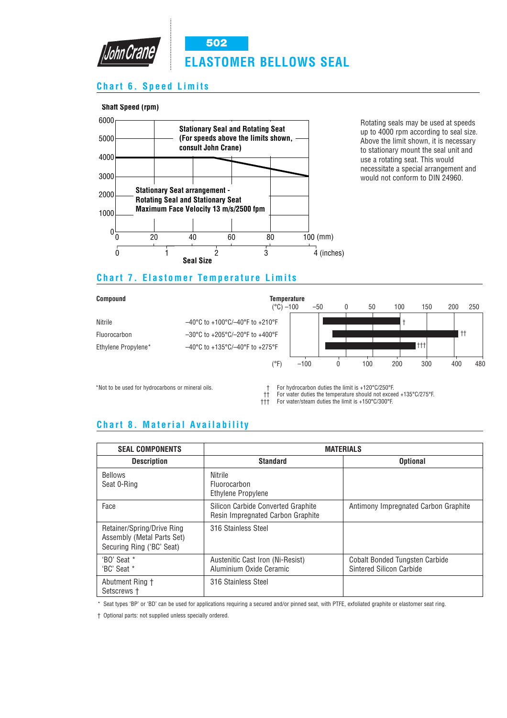

# **Chart 6. Speed Limits**





**502**

Rotating seals may be used at speeds up to 4000 rpm according to seal size. Above the limit shown, it is necessary to stationary mount the seal unit and use a rotating seat. This would necessitate a special arrangement and would not conform to DIN 24960.

# **Chart 7. Elastomer Temperature Limits**

Nitrile –40°C to +100°C/–40°F to +210°F Fluorocarbon –30°C to +205°C/–20°F to +400°F Ethylene Propylene\* –40°C to +135°C/-40°F to +275°F



\*Not to be used for hydrocarbons or mineral oils. † For hydrocarbon duties the limit is +120°C/250°F.

 $\dagger$  For water duties the temperature should not exceed +135°C/275°F.<br> $\dagger$ th For water/steam duties the limit is +150°C/300°F.

††† For water/steam duties the limit is +150°C/300°F.

# **Chart 8. Material Availability**

| <b>SEAL COMPONENTS</b>                                                                | <b>MATERIALS</b>                                                        |                                                                   |  |
|---------------------------------------------------------------------------------------|-------------------------------------------------------------------------|-------------------------------------------------------------------|--|
| <b>Description</b>                                                                    | <b>Standard</b>                                                         | <b>Optional</b>                                                   |  |
| <b>Bellows</b><br>Seat 0-Ring                                                         | Nitrile<br><b>Fluorocarbon</b><br>Ethylene Propylene                    |                                                                   |  |
| Face                                                                                  | Silicon Carbide Converted Graphite<br>Resin Impregnated Carbon Graphite | Antimony Impregnated Carbon Graphite                              |  |
| Retainer/Spring/Drive Ring<br>Assembly (Metal Parts Set)<br>Securing Ring ('BC' Seat) | 316 Stainless Steel                                                     |                                                                   |  |
| 'BO' Seat *<br>'BC' Seat *                                                            | Austenitic Cast Iron (Ni-Resist)<br>Aluminium Oxide Ceramic             | <b>Cobalt Bonded Tungsten Carbide</b><br>Sintered Silicon Carbide |  |
| Abutment Ring †<br>Setscrews +                                                        | 316 Stainless Steel                                                     |                                                                   |  |

\* Seat types 'BP' or 'BD' can be used for applications requiring a secured and/or pinned seat, with PTFE, exfoliated graphite or elastomer seat ring.

† Optional parts: not supplied unless specially ordered.